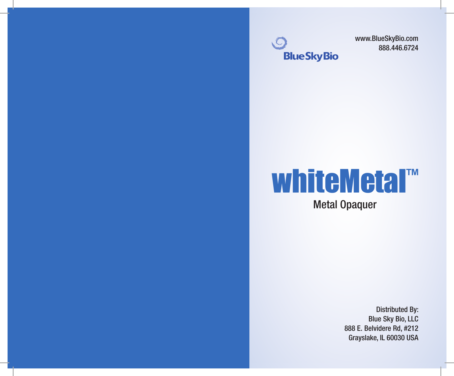

www.BlueSkyBio.com 888.446.6724

# whiteMetal™ Metal Opaquer

Distributed By: Blue Sky Bio, LLC 888 E. Belvidere Rd, #212 Grayslake, IL 60030 USA